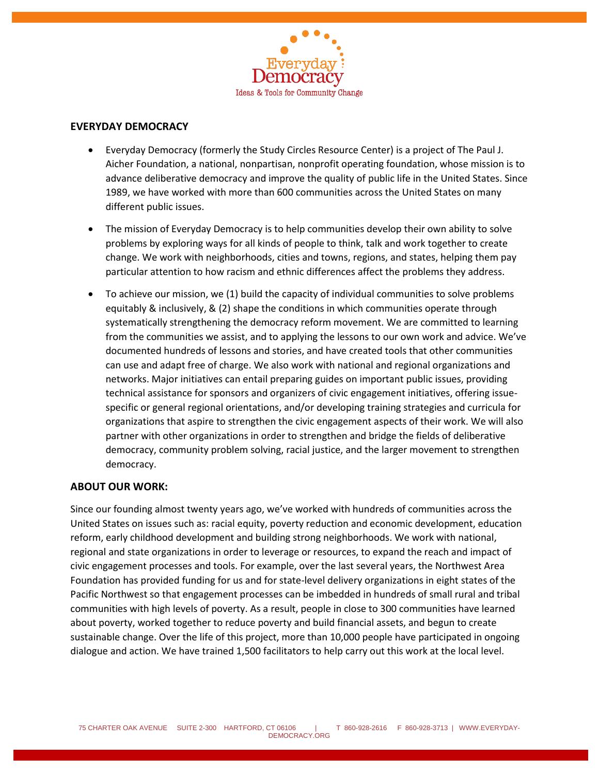

## **EVERYDAY DEMOCRACY**

- Everyday Democracy (formerly the Study Circles Resource Center) is a project of The Paul J. Aicher Foundation, a national, nonpartisan, nonprofit operating foundation, whose mission is to advance deliberative democracy and improve the quality of public life in the United States. Since 1989, we have worked with more than 600 communities across the United States on many different public issues.
- The mission of Everyday Democracy is to help communities develop their own ability to solve problems by exploring ways for all kinds of people to think, talk and work together to create change. We work with neighborhoods, cities and towns, regions, and states, helping them pay particular attention to how racism and ethnic differences affect the problems they address.
- To achieve our mission, we (1) build the capacity of individual communities to solve problems equitably & inclusively, & (2) shape the conditions in which communities operate through systematically strengthening the democracy reform movement. We are committed to learning from the communities we assist, and to applying the lessons to our own work and advice. We've documented hundreds of lessons and stories, and have created tools that other communities can use and adapt free of charge. We also work with national and regional organizations and networks. Major initiatives can entail preparing guides on important public issues, providing technical assistance for sponsors and organizers of civic engagement initiatives, offering issuespecific or general regional orientations, and/or developing training strategies and curricula for organizations that aspire to strengthen the civic engagement aspects of their work. We will also partner with other organizations in order to strengthen and bridge the fields of deliberative democracy, community problem solving, racial justice, and the larger movement to strengthen democracy.

## **ABOUT OUR WORK:**

Since our founding almost twenty years ago, we've worked with hundreds of communities across the United States on issues such as: racial equity, poverty reduction and economic development, education reform, early childhood development and building strong neighborhoods. We work with national, regional and state organizations in order to leverage or resources, to expand the reach and impact of civic engagement processes and tools. For example, over the last several years, the Northwest Area Foundation has provided funding for us and for state-level delivery organizations in eight states of the Pacific Northwest so that engagement processes can be imbedded in hundreds of small rural and tribal communities with high levels of poverty. As a result, people in close to 300 communities have learned about poverty, worked together to reduce poverty and build financial assets, and begun to create sustainable change. Over the life of this project, more than 10,000 people have participated in ongoing dialogue and action. We have trained 1,500 facilitators to help carry out this work at the local level.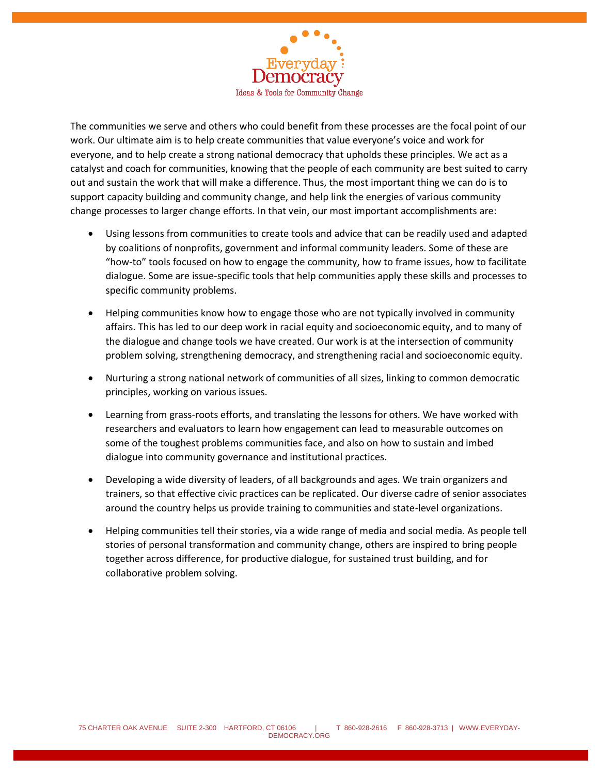

The communities we serve and others who could benefit from these processes are the focal point of our work. Our ultimate aim is to help create communities that value everyone's voice and work for everyone, and to help create a strong national democracy that upholds these principles. We act as a catalyst and coach for communities, knowing that the people of each community are best suited to carry out and sustain the work that will make a difference. Thus, the most important thing we can do is to support capacity building and community change, and help link the energies of various community change processes to larger change efforts. In that vein, our most important accomplishments are:

- Using lessons from communities to create tools and advice that can be readily used and adapted by coalitions of nonprofits, government and informal community leaders. Some of these are "how-to" tools focused on how to engage the community, how to frame issues, how to facilitate dialogue. Some are issue-specific tools that help communities apply these skills and processes to specific community problems.
- Helping communities know how to engage those who are not typically involved in community affairs. This has led to our deep work in racial equity and socioeconomic equity, and to many of the dialogue and change tools we have created. Our work is at the intersection of community problem solving, strengthening democracy, and strengthening racial and socioeconomic equity.
- Nurturing a strong national network of communities of all sizes, linking to common democratic principles, working on various issues.
- Learning from grass-roots efforts, and translating the lessons for others. We have worked with researchers and evaluators to learn how engagement can lead to measurable outcomes on some of the toughest problems communities face, and also on how to sustain and imbed dialogue into community governance and institutional practices.
- Developing a wide diversity of leaders, of all backgrounds and ages. We train organizers and trainers, so that effective civic practices can be replicated. Our diverse cadre of senior associates around the country helps us provide training to communities and state-level organizations.
- Helping communities tell their stories, via a wide range of media and social media. As people tell stories of personal transformation and community change, others are inspired to bring people together across difference, for productive dialogue, for sustained trust building, and for collaborative problem solving.